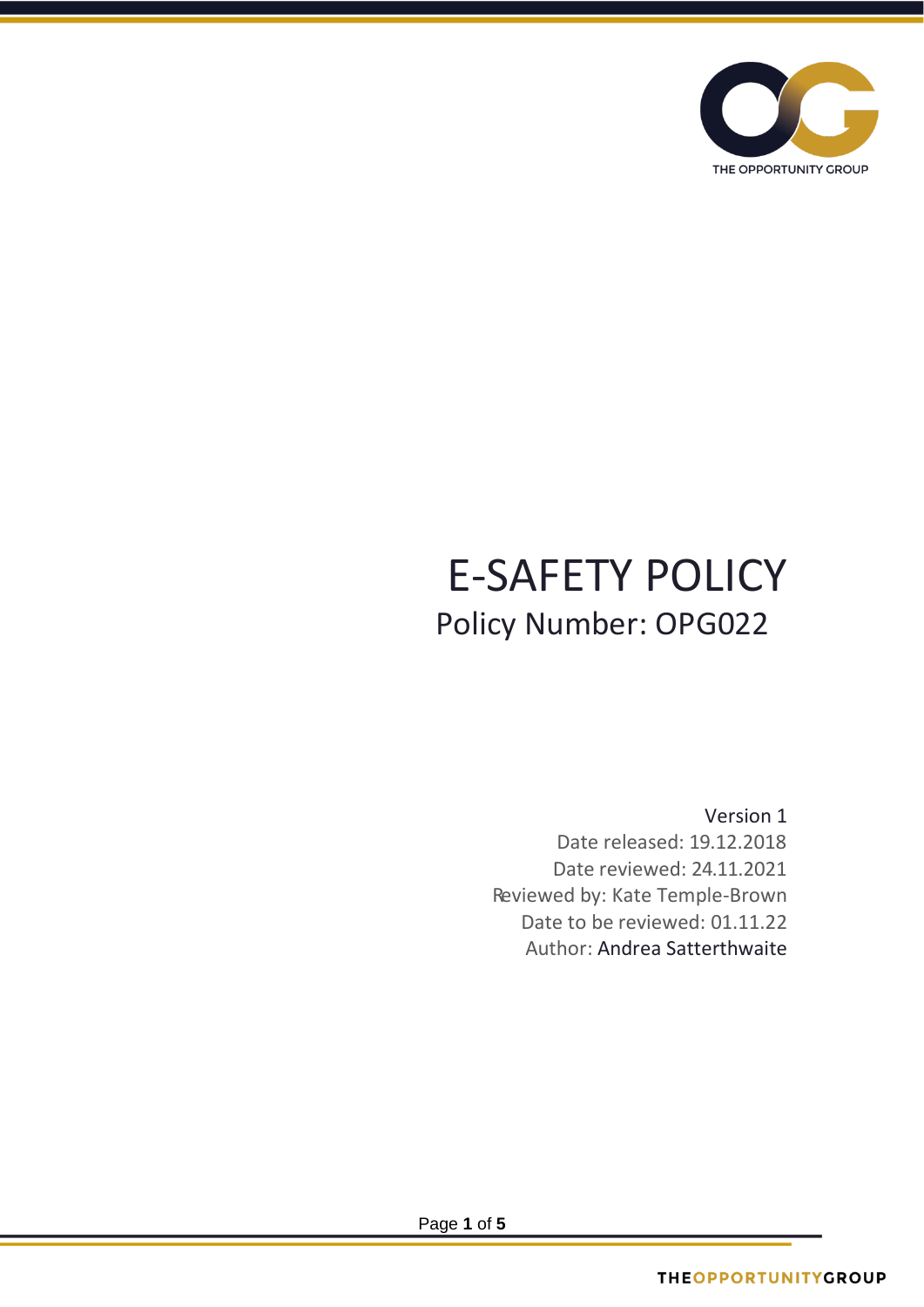

# E-SAFETY POLICY Policy Number: OPG022

Version 1 Date released: 19.12.2018 Date reviewed: 24.11.2021 Reviewed by: Kate Temple-Brown Date to be reviewed: 01.11.22 Author: Andrea Satterthwaite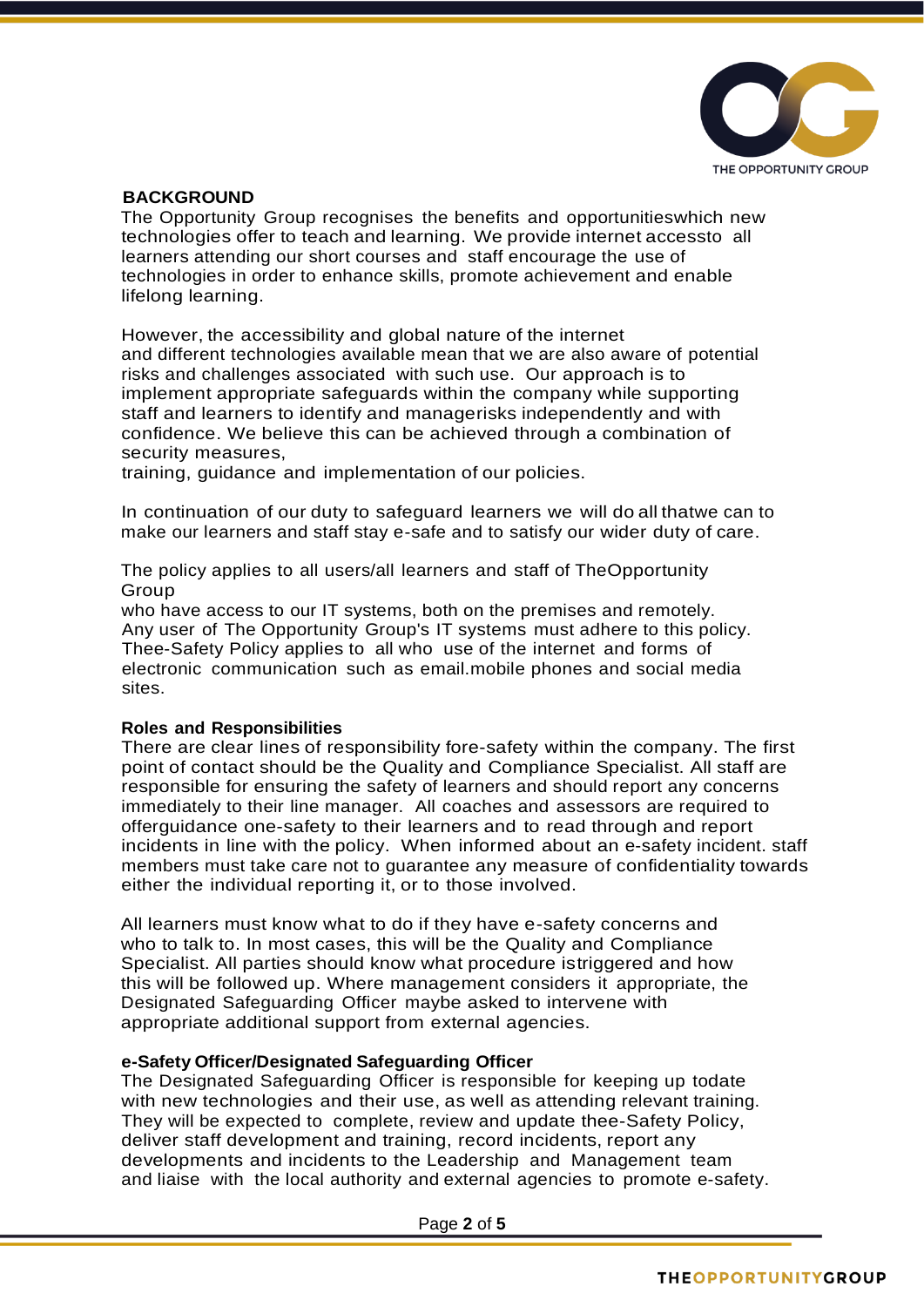

# **BACKGROUND**

The Opportunity Group recognises the benefits and opportunitieswhich new technologies offer to teach and learning. We provide internet accessto all learners attending our short courses and staff encourage the use of technologies in order to enhance skills, promote achievement and enable lifelong learning.

However, the accessibility and global nature of the internet and different technologies available mean that we are also aware of potential risks and challenges associated with such use. Our approach is to implement appropriate safeguards within the company while supporting staff and learners to identify and managerisks independently and with confidence. We believe this can be achieved through a combination of security measures,

training, guidance and implementation of our policies.

In continuation of our duty to safeguard learners we will do all thatwe can to make our learners and staff stay e-safe and to satisfy our wider duty of care.

The policy applies to all users/all learners and staff of TheOpportunity Group

who have access to our IT systems, both on the premises and remotely. Any user of The Opportunity Group's IT systems must adhere to this policy. Thee-Safety Policy applies to all who use of the internet and forms of electronic communication such as email.mobile phones and social media sites.

### **Roles and Responsibilities**

There are clear lines of responsibility fore-safety within the company. The first point of contact should be the Quality and Compliance Specialist. All staff are responsible for ensuring the safety of learners and should report any concerns immediately to their line manager. All coaches and assessors are required to offerguidance one-safety to their learners and to read through and report incidents in line with the policy. When informed about an e-safety incident. staff members must take care not to guarantee any measure of confidentiality towards either the individual reporting it, or to those involved.

All learners must know what to do if they have e-safety concerns and who to talk to. In most cases, this will be the Quality and Compliance Specialist. All parties should know what procedure istriggered and how this will be followed up. Where management considers it appropriate, the Designated Safeguarding Officer maybe asked to intervene with appropriate additional support from external agencies.

### **e-Safety Officer/Designated Safeguarding Officer**

The Designated Safeguarding Officer is responsible for keeping up todate with new technologies and their use, as well as attending relevant training. They will be expected to complete, review and update thee-Safety Policy, deliver staff development and training, record incidents, report any developments and incidents to the Leadership and Management team and liaise with the local authority and external agencies to promote e-safety.

Page **2** of **5**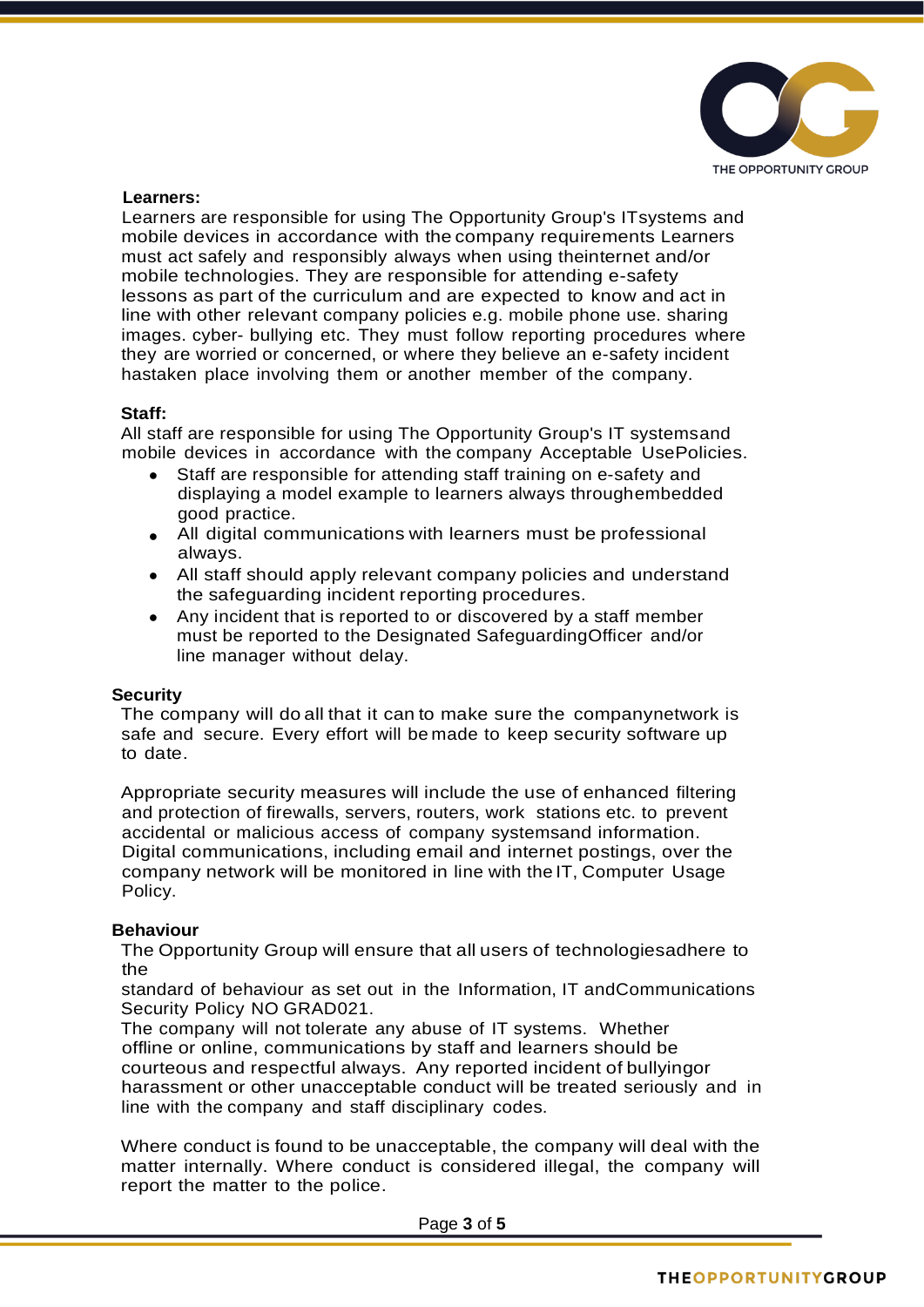

## **Learners:**

Learners are responsible for using The Opportunity Group's ITsystems and mobile devices in accordance with the company requirements Learners must act safely and responsibly always when using theinternet and/or mobile technologies. They are responsible for attending e-safety lessons as part of the curriculum and are expected to know and act in line with other relevant company policies e.g. mobile phone use. sharing images. cyber- bullying etc. They must follow reporting procedures where they are worried or concerned, or where they believe an e-safety incident hastaken place involving them or another member of the company.

## **Staff:**

All staff are responsible for using The Opportunity Group's IT systemsand mobile devices in accordance with the company Acceptable UsePolicies.

- Staff are responsible for attending staff training on e-safety and displaying a model example to learners always throughembedded good practice.
- All digital communications with learners must be professional always.
- All staff should apply relevant company policies and understand the safeguarding incident reporting procedures.
- Any incident that is reported to or discovered by a staff member must be reported to the Designated SafeguardingOfficer and/or line manager without delay.

# **Security**

The company will do all that it can to make sure the companynetwork is safe and secure. Every effort will be made to keep security software up to date.

Appropriate security measures will include the use of enhanced filtering and protection of firewalls, servers, routers, work stations etc. to prevent accidental or malicious access of company systemsand information. Digital communications, including email and internet postings, over the company network will be monitored in line with the IT, Computer Usage Policy.

# **Behaviour**

The Opportunity Group will ensure that all users of technologiesadhere to the

standard of behaviour as set out in the Information, IT andCommunications Security Policy NO GRAD021.

The company will not tolerate any abuse of IT systems. Whether offline or online, communications by staff and learners should be courteous and respectful always. Any reported incident of bullyingor harassment or other unacceptable conduct will be treated seriously and in line with the company and staff disciplinary codes.

Where conduct is found to be unacceptable, the company will deal with the matter internally. Where conduct is considered illegal, the company will report the matter to the police.

Page **3** of **5**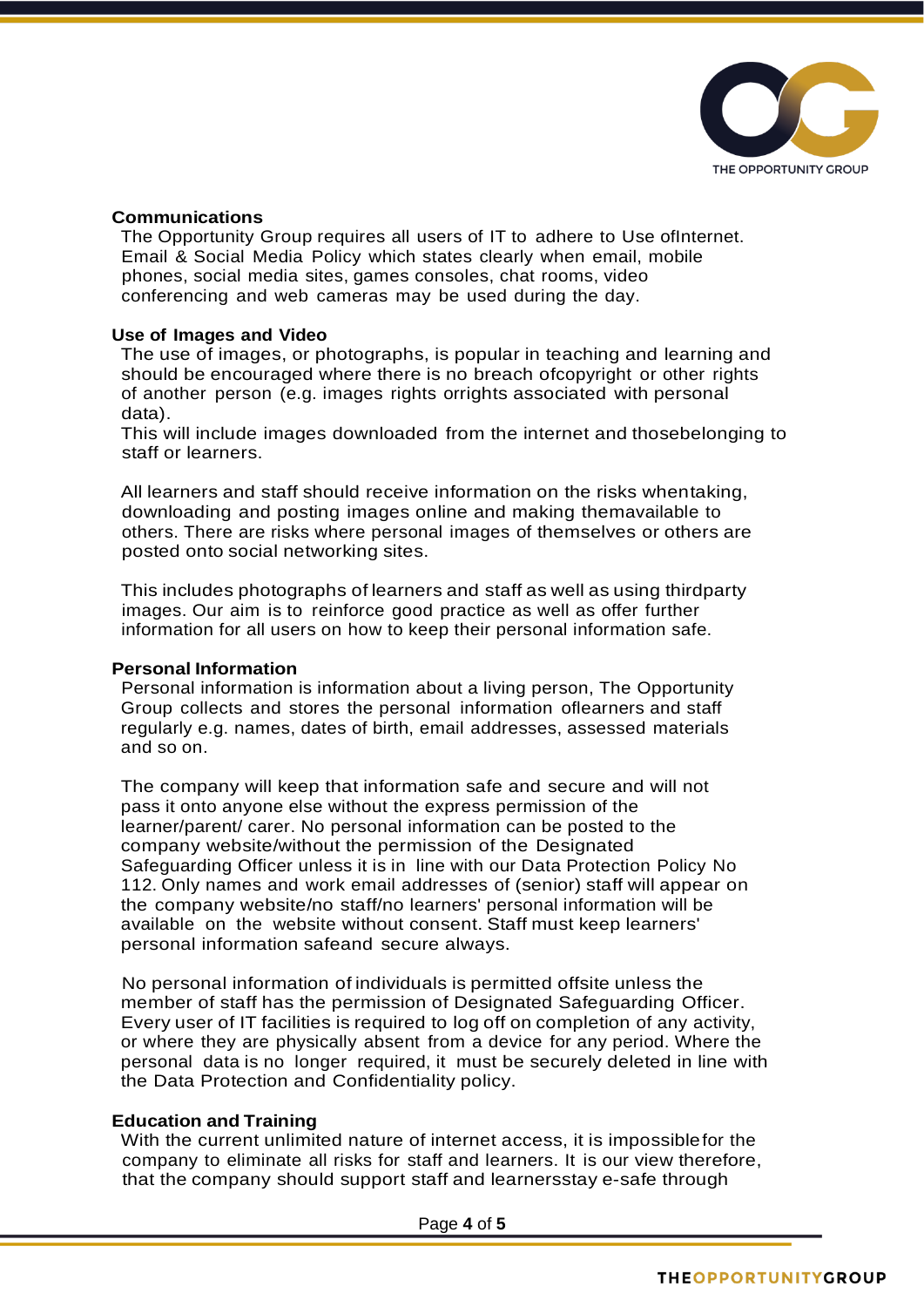

## **Communications**

The Opportunity Group requires all users of IT to adhere to Use ofInternet. Email & Social Media Policy which states clearly when email, mobile phones, social media sites, games consoles, chat rooms, video conferencing and web cameras may be used during the day.

## **Use of Images and Video**

The use of images, or photographs, is popular in teaching and learning and should be encouraged where there is no breach ofcopyright or other rights of another person (e.g. images rights orrights associated with personal data).

This will include images downloaded from the internet and thosebelonging to staff or learners.

All learners and staff should receive information on the risks whentaking, downloading and posting images online and making themavailable to others. There are risks where personal images of themselves or others are posted onto social networking sites.

This includes photographs of learners and staff as well as using thirdparty images. Our aim is to reinforce good practice as well as offer further information for all users on how to keep their personal information safe.

### **Personal Information**

Personal information is information about a living person, The Opportunity Group collects and stores the personal information oflearners and staff regularly e.g. names, dates of birth, email addresses, assessed materials and so on.

The company will keep that information safe and secure and will not pass it onto anyone else without the express permission of the learner/parent/ carer. No personal information can be posted to the company website/without the permission of the Designated Safeguarding Officer unless it is in line with our Data Protection Policy No 112. Only names and work email addresses of (senior) staff will appear on the company website/no staff/no learners' personal information will be available on the website without consent. Staff must keep learners' personal information safeand secure always.

No personal information of individuals is permitted offsite unless the member of staff has the permission of Designated Safeguarding Officer. Every user of IT facilities is required to log off on completion of any activity, or where they are physically absent from a device for any period. Where the personal data is no longer required, it must be securely deleted in line with the Data Protection and Confidentiality policy.

## **Education and Training**

With the current unlimited nature of internet access, it is impossiblefor the company to eliminate all risks for staff and learners. It is our view therefore, that the company should support staff and learnersstay e-safe through

Page **4** of **5**